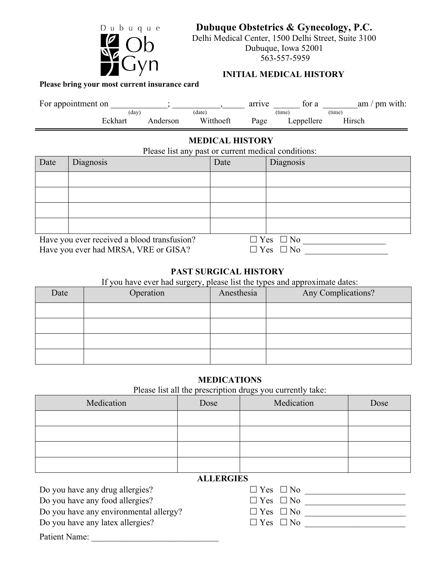

**Dubuque Obstetrics & Gynecology, P.C.**

Delhi Medical Center, 1500 Delhi Street, Suite 3100 Dubuque, Iowa 52001 563-557-5959

# **INITIAL MEDICAL HISTORY**

**Please bring your most current insurance card**

| For appointment on |         |          |           | arrıve | tor a      | am / $pm$ with: |  |
|--------------------|---------|----------|-----------|--------|------------|-----------------|--|
|                    | (day)   |          | (date)    |        | (time)     | (time)          |  |
|                    | Eckhart | Anderson | Witthoeft | Page   | Leppellere | :Hrsch          |  |

# **MEDICAL HISTORY**

Please list any past or current medical conditions:

| Date                                        | Diagnosis | Date | Diagnosis            |
|---------------------------------------------|-----------|------|----------------------|
|                                             |           |      |                      |
|                                             |           |      |                      |
|                                             |           |      |                      |
|                                             |           |      |                      |
| Have you ever received a blood transfusion? |           |      | $\Box$ Yes $\Box$ No |
| Have you ever had MRSA, VRE or GISA?        |           |      | $\Box$ Yes $\Box$ No |

**PAST SURGICAL HISTORY**

If you have ever had surgery, please list the types and approximate dates:

| Date | - - -<br>Operation | Anesthesia | Any Complications? |
|------|--------------------|------------|--------------------|
|      |                    |            |                    |
|      |                    |            |                    |
|      |                    |            |                    |
|      |                    |            |                    |

# **MEDICATIONS**

Please list all the prescription drugs you currently take:

| Medication | Dose | Medication | Dose |
|------------|------|------------|------|
|            |      |            |      |
|            |      |            |      |
|            |      |            |      |
|            |      |            |      |

# **ALLERGIES**

Do you have any drug allergies?

Do you have any food allergies?

Do you have any environmental allergy?

Do you have any latex allergies?

| $\Box$ Yes $\Box$ No |  |
|----------------------|--|
| $\Box$ Yes $\Box$ No |  |
| $\Box$ Yes $\Box$ No |  |
| $\Box$ Yes $\Box$ No |  |
|                      |  |

Patient Name: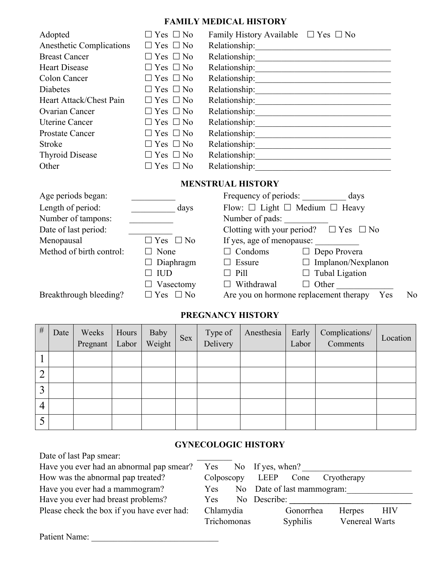# **FAMILY MEDICAL HISTORY**

| Adopted                  | $\Box$ Yes $\Box$ No | Family History Available $\Box$ Yes $\Box$ No |
|--------------------------|----------------------|-----------------------------------------------|
| Anesthetic Complications | $\Box$ Yes $\Box$ No | Relationship:                                 |
| <b>Breast Cancer</b>     | $\Box$ Yes $\Box$ No | Relationship:                                 |
| <b>Heart Disease</b>     | $\Box$ Yes $\Box$ No | Relationship:                                 |
| Colon Cancer             | $\Box$ Yes $\Box$ No | Relationship:                                 |
| <b>Diabetes</b>          | $\Box$ Yes $\Box$ No | Relationship:                                 |
| Heart Attack/Chest Pain  | $\Box$ Yes $\Box$ No | Relationship:                                 |
| Ovarian Cancer           | $\Box$ Yes $\Box$ No | Relationship:                                 |
| <b>Uterine Cancer</b>    | $\Box$ Yes $\Box$ No | Relationship:                                 |
| <b>Prostate Cancer</b>   | $\Box$ Yes $\Box$ No | Relationship:                                 |
| <b>Stroke</b>            | $\Box$ Yes $\Box$ No | Relationship:                                 |
| <b>Thyroid Disease</b>   | $\Box$ Yes $\Box$ No | Relationship:                                 |
| Other                    | Yes $\Box$ No        | Relationship:                                 |

# **MENSTRUAL HISTORY**

| Age periods began:       |                         | Frequency of periods:     | days                                                |  |  |  |  |
|--------------------------|-------------------------|---------------------------|-----------------------------------------------------|--|--|--|--|
| Length of period:        | days                    |                           | Flow: $\Box$ Light $\Box$ Medium $\Box$ Heavy       |  |  |  |  |
| Number of tampons:       |                         | Number of pads:           |                                                     |  |  |  |  |
| Date of last period:     |                         |                           | Clotting with your period? $\Box$ Yes $\Box$ No     |  |  |  |  |
| Menopausal               | $\Box$ Yes $\Box$ No    | If yes, age of menopause: |                                                     |  |  |  |  |
| Method of birth control: | $\Box$ None             | $\Box$ Condoms            | Depo Provera<br>$\Box$                              |  |  |  |  |
|                          | $\Box$ Diaphragm        | $\Box$ Essure             | $\Box$ Implanon/Nexplanon                           |  |  |  |  |
|                          | IUD                     | $\Box$ Pill               | $\Box$ Tubal Ligation                               |  |  |  |  |
|                          | Vasectomy               | Withdrawal                | Other                                               |  |  |  |  |
| Breakthrough bleeding?   | $\Box$ Yes<br>$\Box$ No |                           | Are you on hormone replacement therapy<br>Yes<br>No |  |  |  |  |

# **PREGNANCY HISTORY**

| $\#$           | Date | Weeks<br>Pregnant   Labor   Weight | Hours | Baby | <b>Sex</b> | Type of<br>Delivery | Anesthesia | Early<br>Labor | Complications/<br>Comments | Location |
|----------------|------|------------------------------------|-------|------|------------|---------------------|------------|----------------|----------------------------|----------|
|                |      |                                    |       |      |            |                     |            |                |                            |          |
| ◠<br>∠         |      |                                    |       |      |            |                     |            |                |                            |          |
| $\overline{3}$ |      |                                    |       |      |            |                     |            |                |                            |          |
| 4              |      |                                    |       |      |            |                     |            |                |                            |          |
|                |      |                                    |       |      |            |                     |            |                |                            |          |

# **GYNECOLOGIC HISTORY**

| Date of last Pap smear:                    |             |     |                                          |
|--------------------------------------------|-------------|-----|------------------------------------------|
| Have you ever had an abnormal pap smear?   | Yes         |     | No If yes, when?                         |
| How was the abnormal pap treated?          | Colposcopy  |     | LEEP<br>Cone<br>Cryotherapy              |
| Have you ever had a mammogram?             | Yes         | No. | Date of last mammogram:                  |
| Have you ever had breast problems?         | <b>Yes</b>  |     | No Describe:                             |
| Please check the box if you have ever had: | Chlamydia   |     | <b>HIV</b><br>Gonorrhea<br><b>Herpes</b> |
|                                            | Trichomonas |     | Venereal Warts<br><b>Syphilis</b>        |
| Patient Name:                              |             |     |                                          |